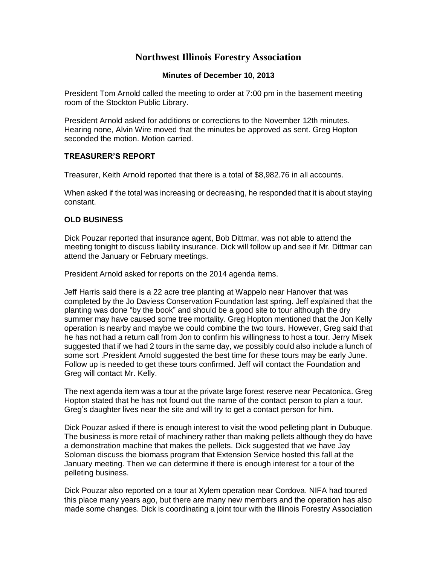# **Northwest Illinois Forestry Association**

#### **Minutes of December 10, 2013**

President Tom Arnold called the meeting to order at 7:00 pm in the basement meeting room of the Stockton Public Library.

President Arnold asked for additions or corrections to the November 12th minutes. Hearing none, Alvin Wire moved that the minutes be approved as sent. Greg Hopton seconded the motion. Motion carried.

## **TREASURER'S REPORT**

Treasurer, Keith Arnold reported that there is a total of \$8,982.76 in all accounts.

When asked if the total was increasing or decreasing, he responded that it is about staying constant.

## **OLD BUSINESS**

Dick Pouzar reported that insurance agent, Bob Dittmar, was not able to attend the meeting tonight to discuss liability insurance. Dick will follow up and see if Mr. Dittmar can attend the January or February meetings.

President Arnold asked for reports on the 2014 agenda items.

Jeff Harris said there is a 22 acre tree planting at Wappelo near Hanover that was completed by the Jo Daviess Conservation Foundation last spring. Jeff explained that the planting was done "by the book" and should be a good site to tour although the dry summer may have caused some tree mortality. Greg Hopton mentioned that the Jon Kelly operation is nearby and maybe we could combine the two tours. However, Greg said that he has not had a return call from Jon to confirm his willingness to host a tour. Jerry Misek suggested that if we had 2 tours in the same day, we possibly could also include a lunch of some sort .President Arnold suggested the best time for these tours may be early June. Follow up is needed to get these tours confirmed. Jeff will contact the Foundation and Greg will contact Mr. Kelly.

The next agenda item was a tour at the private large forest reserve near Pecatonica. Greg Hopton stated that he has not found out the name of the contact person to plan a tour. Greg's daughter lives near the site and will try to get a contact person for him.

Dick Pouzar asked if there is enough interest to visit the wood pelleting plant in Dubuque. The business is more retail of machinery rather than making pellets although they do have a demonstration machine that makes the pellets. Dick suggested that we have Jay Soloman discuss the biomass program that Extension Service hosted this fall at the January meeting. Then we can determine if there is enough interest for a tour of the pelleting business.

Dick Pouzar also reported on a tour at Xylem operation near Cordova. NIFA had toured this place many years ago, but there are many new members and the operation has also made some changes. Dick is coordinating a joint tour with the Illinois Forestry Association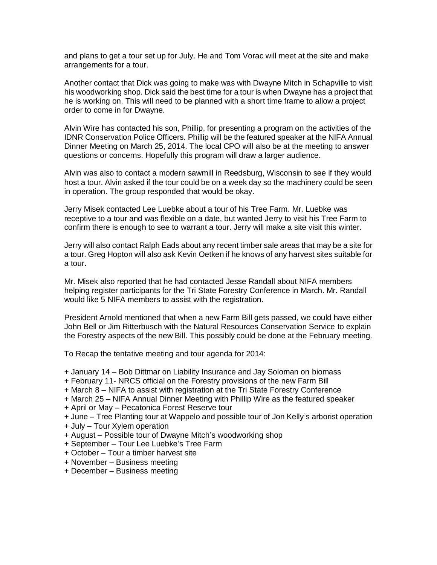and plans to get a tour set up for July. He and Tom Vorac will meet at the site and make arrangements for a tour.

Another contact that Dick was going to make was with Dwayne Mitch in Schapville to visit his woodworking shop. Dick said the best time for a tour is when Dwayne has a project that he is working on. This will need to be planned with a short time frame to allow a project order to come in for Dwayne.

Alvin Wire has contacted his son, Phillip, for presenting a program on the activities of the IDNR Conservation Police Officers. Phillip will be the featured speaker at the NIFA Annual Dinner Meeting on March 25, 2014. The local CPO will also be at the meeting to answer questions or concerns. Hopefully this program will draw a larger audience.

Alvin was also to contact a modern sawmill in Reedsburg, Wisconsin to see if they would host a tour. Alvin asked if the tour could be on a week day so the machinery could be seen in operation. The group responded that would be okay.

Jerry Misek contacted Lee Luebke about a tour of his Tree Farm. Mr. Luebke was receptive to a tour and was flexible on a date, but wanted Jerry to visit his Tree Farm to confirm there is enough to see to warrant a tour. Jerry will make a site visit this winter.

Jerry will also contact Ralph Eads about any recent timber sale areas that may be a site for a tour. Greg Hopton will also ask Kevin Oetken if he knows of any harvest sites suitable for a tour.

Mr. Misek also reported that he had contacted Jesse Randall about NIFA members helping register participants for the Tri State Forestry Conference in March. Mr. Randall would like 5 NIFA members to assist with the registration.

President Arnold mentioned that when a new Farm Bill gets passed, we could have either John Bell or Jim Ritterbusch with the Natural Resources Conservation Service to explain the Forestry aspects of the new Bill. This possibly could be done at the February meeting.

To Recap the tentative meeting and tour agenda for 2014:

- + January 14 Bob Dittmar on Liability Insurance and Jay Soloman on biomass
- + February 11- NRCS official on the Forestry provisions of the new Farm Bill
- + March 8 NIFA to assist with registration at the Tri State Forestry Conference
- + March 25 NIFA Annual Dinner Meeting with Phillip Wire as the featured speaker
- + April or May Pecatonica Forest Reserve tour

+ June – Tree Planting tour at Wappelo and possible tour of Jon Kelly's arborist operation

- + July Tour Xylem operation
- + August Possible tour of Dwayne Mitch's woodworking shop
- + September Tour Lee Luebke's Tree Farm
- + October Tour a timber harvest site
- + November Business meeting
- + December Business meeting